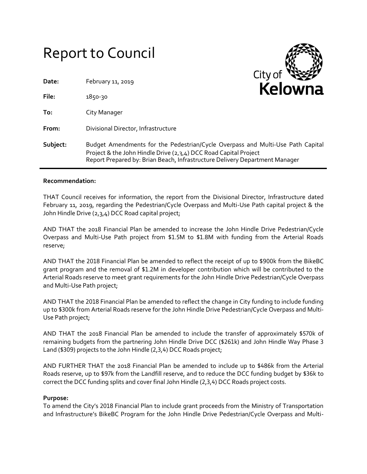# Report to Council



| Date:    | February 11, 2019                                                                                                                               | Kelowna                                                                        |  |
|----------|-------------------------------------------------------------------------------------------------------------------------------------------------|--------------------------------------------------------------------------------|--|
| File:    | 1850-30                                                                                                                                         |                                                                                |  |
| To:      | City Manager                                                                                                                                    |                                                                                |  |
| From:    | Divisional Director, Infrastructure                                                                                                             |                                                                                |  |
| Subject: | Project & the John Hindle Drive (2,3,4) DCC Road Capital Project<br>Report Prepared by: Brian Beach, Infrastructure Delivery Department Manager | Budget Amendments for the Pedestrian/Cycle Overpass and Multi-Use Path Capital |  |

## **Recommendation:**

THAT Council receives for information, the report from the Divisional Director, Infrastructure dated February 11, 2019, regarding the Pedestrian/Cycle Overpass and Multi-Use Path capital project & the John Hindle Drive (2,3,4) DCC Road capital project;

AND THAT the 2018 Financial Plan be amended to increase the John Hindle Drive Pedestrian/Cycle Overpass and Multi-Use Path project from \$1.5M to \$1.8M with funding from the Arterial Roads reserve;

AND THAT the 2018 Financial Plan be amended to reflect the receipt of up to \$900k from the BikeBC grant program and the removal of \$1.2M in developer contribution which will be contributed to the Arterial Roads reserve to meet grant requirements for the John Hindle Drive Pedestrian/Cycle Overpass and Multi-Use Path project;

AND THAT the 2018 Financial Plan be amended to reflect the change in City funding to include funding up to \$300k from Arterial Roads reserve for the John Hindle Drive Pedestrian/Cycle Overpass and Multi-Use Path project;

AND THAT the 2018 Financial Plan be amended to include the transfer of approximately \$570k of remaining budgets from the partnering John Hindle Drive DCC (\$261k) and John Hindle Way Phase 3 Land (\$309) projects to the John Hindle (2,3,4) DCC Roads project;

AND FURTHER THAT the 2018 Financial Plan be amended to include up to \$486k from the Arterial Roads reserve, up to \$97k from the Landfill reserve, and to reduce the DCC funding budget by \$36k to correct the DCC funding splits and cover final John Hindle (2,3,4) DCC Roads project costs.

## **Purpose:**

To amend the City's 2018 Financial Plan to include grant proceeds from the Ministry of Transportation and Infrastructure's BikeBC Program for the John Hindle Drive Pedestrian/Cycle Overpass and Multi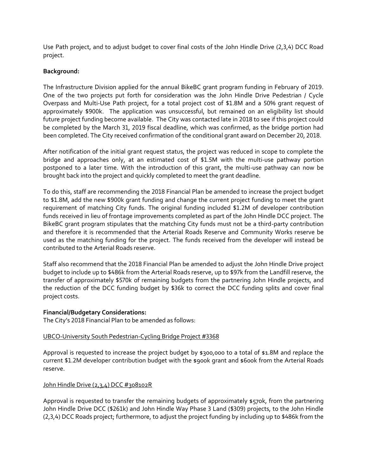Use Path project, and to adjust budget to cover final costs of the John Hindle Drive (2,3,4) DCC Road project.

# **Background:**

The Infrastructure Division applied for the annual BikeBC grant program funding in February of 2019. One of the two projects put forth for consideration was the John Hindle Drive Pedestrian / Cycle Overpass and Multi-Use Path project, for a total project cost of \$1.8M and a 50% grant request of approximately \$900k. The application was unsuccessful, but remained on an eligibility list should future project funding become available. The City was contacted late in 2018 to see if this project could be completed by the March 31, 2019 fiscal deadline, which was confirmed, as the bridge portion had been completed. The City received confirmation of the conditional grant award on December 20, 2018.

After notification of the initial grant request status, the project was reduced in scope to complete the bridge and approaches only, at an estimated cost of \$1.5M with the multi-use pathway portion postponed to a later time. With the introduction of this grant, the multi-use pathway can now be brought back into the project and quickly completed to meet the grant deadline.

To do this, staff are recommending the 2018 Financial Plan be amended to increase the project budget to \$1.8M, add the new \$900k grant funding and change the current project funding to meet the grant requirement of matching City funds. The original funding included \$1.2M of developer contribution funds received in lieu of frontage improvements completed as part of the John Hindle DCC project. The BikeBC grant program stipulates that the matching City funds must not be a third-party contribution and therefore it is recommended that the Arterial Roads Reserve and Community Works reserve be used as the matching funding for the project. The funds received from the developer will instead be contributed to the Arterial Roads reserve.

Staff also recommend that the 2018 Financial Plan be amended to adjust the John Hindle Drive project budget to include up to \$486k from the Arterial Roads reserve, up to \$97k from the Landfill reserve, the transfer of approximately \$570k of remaining budgets from the partnering John Hindle projects, and the reduction of the DCC funding budget by \$36k to correct the DCC funding splits and cover final project costs.

## **Financial/Budgetary Considerations:**

The City's 2018 Financial Plan to be amended as follows:

## UBCO-University South Pedestrian-Cycling Bridge Project #3368

Approval is requested to increase the project budget by \$300,000 to a total of \$1.8M and replace the current \$1.2M developer contribution budget with the \$900k grant and \$600k from the Arterial Roads reserve.

## John Hindle Drive (2,3,4) DCC #308102R

Approval is requested to transfer the remaining budgets of approximately \$570k, from the partnering John Hindle Drive DCC (\$261k) and John Hindle Way Phase 3 Land (\$309) projects, to the John Hindle (2,3,4) DCC Roads project; furthermore, to adjust the project funding by including up to \$486k from the